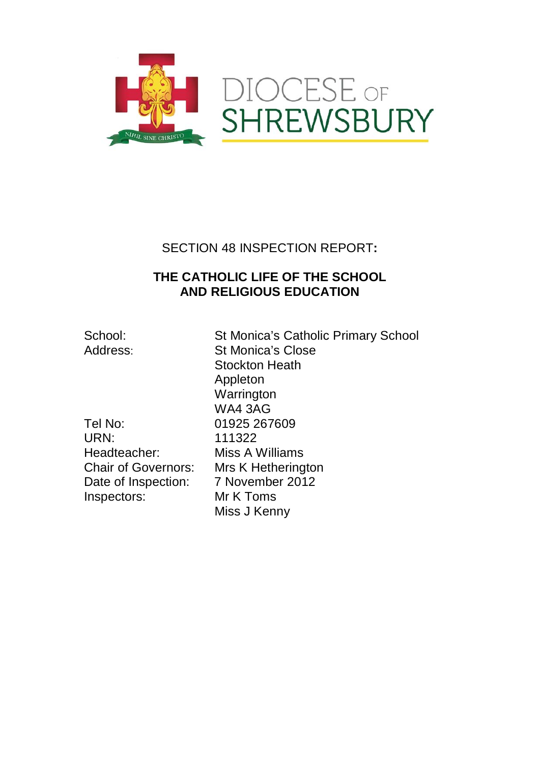

## SECTION 48 INSPECTION REPORT**:**

## **THE CATHOLIC LIFE OF THE SCHOOL AND RELIGIOUS EDUCATION**

School: St Monica's Catholic Primary School Address: St Monica's Close Stockton Heath Appleton **Warrington** WA4 3AG Miss A Williams Miss J Kenny

Tel No: 01925 267609 URN: 111322<br>Headteacher: Miss A \ Chair of Governors: Mrs K Hetherington Date of Inspection: 7 November 2012<br>Inspectors: Mr K Toms Inspectors: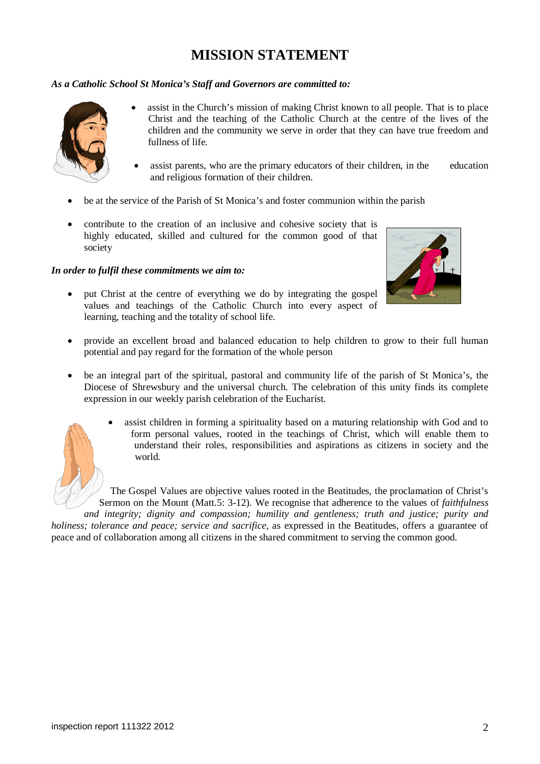# **MISSION STATEMENT**

## *As a Catholic School St Monica's Staff and Governors are committed to:*



- assist in the Church's mission of making Christ known to all people. That is to place Christ and the teaching of the Catholic Church at the centre of the lives of the children and the community we serve in order that they can have true freedom and fullness of life.
- assist parents, who are the primary educators of their children, in the education and religious formation of their children.
- be at the service of the Parish of St Monica's and foster communion within the parish
- contribute to the creation of an inclusive and cohesive society that is highly educated, skilled and cultured for the common good of that society

### *In order to fulfil these commitments we aim to:*

• put Christ at the centre of everything we do by integrating the gospel values and teachings of the Catholic Church into every aspect of learning, teaching and the totality of school life.



- provide an excellent broad and balanced education to help children to grow to their full human potential and pay regard for the formation of the whole person
- be an integral part of the spiritual, pastoral and community life of the parish of St Monica's, the Diocese of Shrewsbury and the universal church. The celebration of this unity finds its complete expression in our weekly parish celebration of the Eucharist.



• assist children in forming a spirituality based on a maturing relationship with God and to form personal values, rooted in the teachings of Christ, which will enable them to understand their roles, responsibilities and aspirations as citizens in society and the world.

The Gospel Values are objective values rooted in the Beatitudes, the proclamation of Christ's Sermon on the Mount (Matt.5: 3-12). We recognise that adherence to the values of *faithfulness and integrity; dignity and compassion; humility and gentleness; truth and justice; purity and* 

*holiness; tolerance and peace; service and sacrifice,* as expressed in the Beatitudes, offers a guarantee of peace and of collaboration among all citizens in the shared commitment to serving the common good.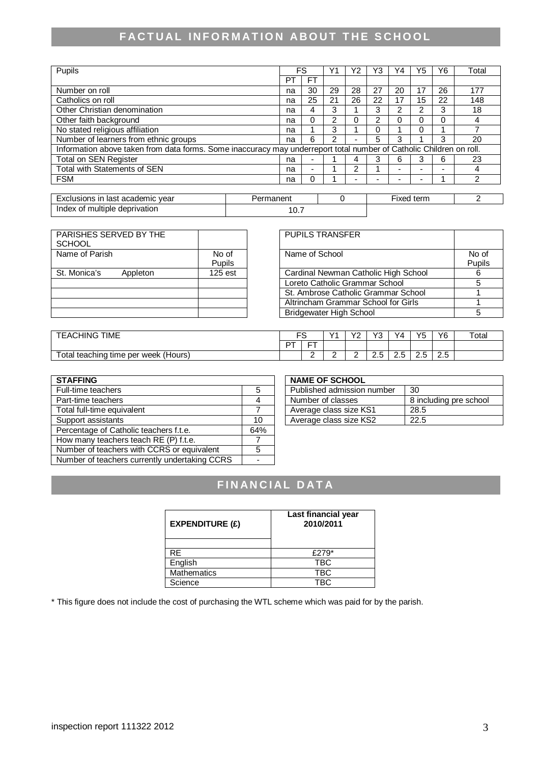# **FACTUAL INFORMATION ABOUT THE SCHOOL**

| Pupils                                |                                                                                                                     | FS                       |    | Y2 | Y3             | $Y_4$ | Y5 | Υ6 | Total |
|---------------------------------------|---------------------------------------------------------------------------------------------------------------------|--------------------------|----|----|----------------|-------|----|----|-------|
|                                       | PT                                                                                                                  | <b>FT</b>                |    |    |                |       |    |    |       |
| Number on roll                        | na                                                                                                                  | 30                       | 29 | 28 | 27             | 20    | 17 | 26 | 177   |
| Catholics on roll                     | na                                                                                                                  | 25                       | 21 | 26 | 22             | 17    | 15 | 22 | 148   |
| Other Christian denomination          | na                                                                                                                  | 4                        | 3  |    | 3              | ◠     | っ  | 3  | 18    |
| Other faith background                | na                                                                                                                  | 0                        | っ  | O  | $\overline{2}$ |       | ი  |    | 4     |
| No stated religious affiliation       | na                                                                                                                  |                          | 3  |    |                |       | 0  |    |       |
| Number of learners from ethnic groups | na                                                                                                                  | 6                        | 2  | -  | 5              | 3     |    | 3  | 20    |
|                                       | Information above taken from data forms. Some inaccuracy may underreport total number of Catholic Children on roll. |                          |    |    |                |       |    |    |       |
| Total on SEN Register                 | na                                                                                                                  | -                        |    | 4  | 3              | 6     |    | 6  | 23    |
| Total with Statements of SEN          | na                                                                                                                  | $\overline{\phantom{0}}$ |    | っ  |                |       | -  |    | 4     |
| <b>FSM</b>                            | na                                                                                                                  | 0                        |    |    | -              |       | -  |    | ົ     |

| academic vear<br><b>Exc</b><br>clusions<br>ın<br>ı last | 'ermanent | term<br>lxed |  |
|---------------------------------------------------------|-----------|--------------|--|
| of multiple<br>deprivation<br>Index                     | 10.7      |              |  |

| PARISHES SERVED BY THE   |         |
|--------------------------|---------|
| <b>SCHOOL</b>            |         |
| Name of Parish           | No of   |
|                          | Pupils  |
| St. Monica's<br>Appleton | 125 est |
|                          |         |
|                          |         |
|                          |         |
|                          |         |

| PARISHES SERVED BY THE<br>SCHOOL |           | <b>PUPILS TRANSFER</b>               |        |
|----------------------------------|-----------|--------------------------------------|--------|
| Name of Parish                   | No of     | Name of School                       | No of  |
|                                  | Pupils    |                                      | Pupils |
| St. Monica's<br>Appleton         | $125$ est | Cardinal Newman Catholic High School |        |
|                                  |           | Loreto Catholic Grammar School       |        |
|                                  |           | St. Ambrose Catholic Grammar School  |        |
|                                  |           | Altrincham Grammar School for Girls  |        |
|                                  |           | <b>Bridgewater High School</b>       |        |

| <b>TIME</b><br>EACHING                          |    |            | $\checkmark$ | $\sqrt{c}$<br>- | \/^<br>ບ | Y4  | VĘ | Y6                 | $\tau$ otal |
|-------------------------------------------------|----|------------|--------------|-----------------|----------|-----|----|--------------------|-------------|
|                                                 | דם | $- -$<br>- |              |                 |          |     |    |                    |             |
| otal<br>(Hours)<br>teaching<br>week<br>time per |    | ∽<br>-     |              |                 | ت        | ے ۔ |    | $\sim$ $\sim$<br>ت |             |

| <b>STAFFING</b>                               |                | <b>NAME OF SCHOOL</b>      |                        |
|-----------------------------------------------|----------------|----------------------------|------------------------|
| Full-time teachers                            | 5              | Published admission number | 30                     |
| Part-time teachers                            | 4              | Number of classes          | 8 including pre school |
| Total full-time equivalent                    |                | Average class size KS1     | 28.5                   |
| Support assistants                            | 10             | Average class size KS2     | 22.5                   |
| Percentage of Catholic teachers f.t.e.        | 64%            |                            |                        |
| How many teachers teach RE (P) f.t.e.         |                |                            |                        |
| Number of teachers with CCRS or equivalent    | 5              |                            |                        |
| Number of teachers currently undertaking CCRS | $\blacksquare$ |                            |                        |

| <b>NAME OF SCHOOL</b>      |                        |
|----------------------------|------------------------|
| Published admission number | 30                     |
| Number of classes          | 8 including pre school |
| Average class size KS1     | 28.5                   |
| Average class size KS2     | 22.5                   |

# **FINANCIAL DATA**

| <b>EXPENDITURE (£)</b> | Last financial year<br>2010/2011 |
|------------------------|----------------------------------|
|                        |                                  |
| <b>RF</b>              | £279*                            |
| English                | TBC                              |
| <b>Mathematics</b>     | TBC                              |
| Science                | TRC.                             |

\* This figure does not include the cost of purchasing the WTL scheme which was paid for by the parish.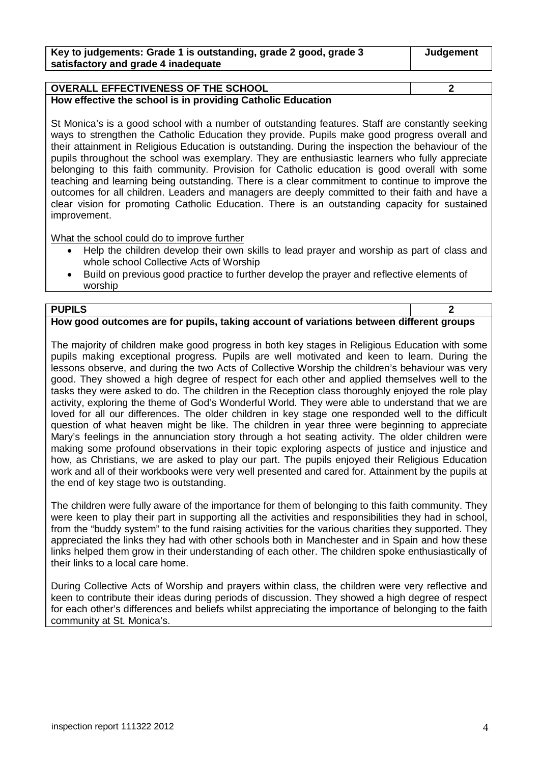| Key to judgements: Grade 1 is outstanding, grade 2 good, grade 3 | Judgement |
|------------------------------------------------------------------|-----------|
| satisfactory and grade 4 inadequate                              |           |

## **OVERALL EFFECTIVENESS OF THE SCHOOL 2 How effective the school is in providing Catholic Education**

St Monica's is a good school with a number of outstanding features. Staff are constantly seeking ways to strengthen the Catholic Education they provide. Pupils make good progress overall and their attainment in Religious Education is outstanding. During the inspection the behaviour of the pupils throughout the school was exemplary. They are enthusiastic learners who fully appreciate belonging to this faith community. Provision for Catholic education is good overall with some teaching and learning being outstanding. There is a clear commitment to continue to improve the outcomes for all children. Leaders and managers are deeply committed to their faith and have a clear vision for promoting Catholic Education. There is an outstanding capacity for sustained improvement.

What the school could do to improve further

- Help the children develop their own skills to lead prayer and worship as part of class and whole school Collective Acts of Worship
- Build on previous good practice to further develop the prayer and reflective elements of worship

#### **PUPILS 2 How good outcomes are for pupils, taking account of variations between different groups**

The majority of children make good progress in both key stages in Religious Education with some pupils making exceptional progress. Pupils are well motivated and keen to learn. During the lessons observe, and during the two Acts of Collective Worship the children's behaviour was very good. They showed a high degree of respect for each other and applied themselves well to the tasks they were asked to do. The children in the Reception class thoroughly enjoyed the role play activity, exploring the theme of God's Wonderful World. They were able to understand that we are loved for all our differences. The older children in key stage one responded well to the difficult question of what heaven might be like. The children in year three were beginning to appreciate Mary's feelings in the annunciation story through a hot seating activity. The older children were making some profound observations in their topic exploring aspects of justice and injustice and how, as Christians, we are asked to play our part. The pupils enjoyed their Religious Education work and all of their workbooks were very well presented and cared for. Attainment by the pupils at the end of key stage two is outstanding.

The children were fully aware of the importance for them of belonging to this faith community. They were keen to play their part in supporting all the activities and responsibilities they had in school, from the "buddy system" to the fund raising activities for the various charities they supported. They appreciated the links they had with other schools both in Manchester and in Spain and how these links helped them grow in their understanding of each other. The children spoke enthusiastically of their links to a local care home.

During Collective Acts of Worship and prayers within class, the children were very reflective and keen to contribute their ideas during periods of discussion. They showed a high degree of respect for each other's differences and beliefs whilst appreciating the importance of belonging to the faith community at St. Monica's.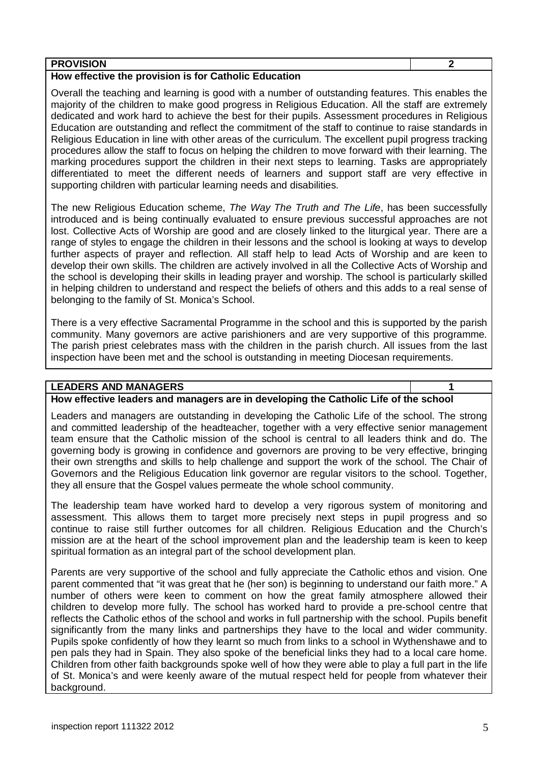| <b>PROVISION</b>                                      |  |
|-------------------------------------------------------|--|
| How effective the provision is for Catholic Education |  |

Overall the teaching and learning is good with a number of outstanding features. This enables the majority of the children to make good progress in Religious Education. All the staff are extremely dedicated and work hard to achieve the best for their pupils. Assessment procedures in Religious Education are outstanding and reflect the commitment of the staff to continue to raise standards in Religious Education in line with other areas of the curriculum. The excellent pupil progress tracking procedures allow the staff to focus on helping the children to move forward with their learning. The marking procedures support the children in their next steps to learning. Tasks are appropriately differentiated to meet the different needs of learners and support staff are very effective in supporting children with particular learning needs and disabilities.

The new Religious Education scheme, *The Way The Truth and The Life*, has been successfully introduced and is being continually evaluated to ensure previous successful approaches are not lost. Collective Acts of Worship are good and are closely linked to the liturgical year. There are a range of styles to engage the children in their lessons and the school is looking at ways to develop further aspects of prayer and reflection. All staff help to lead Acts of Worship and are keen to develop their own skills. The children are actively involved in all the Collective Acts of Worship and the school is developing their skills in leading prayer and worship. The school is particularly skilled in helping children to understand and respect the beliefs of others and this adds to a real sense of belonging to the family of St. Monica's School.

There is a very effective Sacramental Programme in the school and this is supported by the parish community. Many governors are active parishioners and are very supportive of this programme. The parish priest celebrates mass with the children in the parish church. All issues from the last inspection have been met and the school is outstanding in meeting Diocesan requirements.

### **LEADERS AND MANAGERS 1**

## **How effective leaders and managers are in developing the Catholic Life of the school**

Leaders and managers are outstanding in developing the Catholic Life of the school. The strong and committed leadership of the headteacher, together with a very effective senior management team ensure that the Catholic mission of the school is central to all leaders think and do. The governing body is growing in confidence and governors are proving to be very effective, bringing their own strengths and skills to help challenge and support the work of the school. The Chair of Governors and the Religious Education link governor are regular visitors to the school. Together, they all ensure that the Gospel values permeate the whole school community.

The leadership team have worked hard to develop a very rigorous system of monitoring and assessment. This allows them to target more precisely next steps in pupil progress and so continue to raise still further outcomes for all children. Religious Education and the Church's mission are at the heart of the school improvement plan and the leadership team is keen to keep spiritual formation as an integral part of the school development plan.

Parents are very supportive of the school and fully appreciate the Catholic ethos and vision. One parent commented that "it was great that he (her son) is beginning to understand our faith more." A number of others were keen to comment on how the great family atmosphere allowed their children to develop more fully. The school has worked hard to provide a pre-school centre that reflects the Catholic ethos of the school and works in full partnership with the school. Pupils benefit significantly from the many links and partnerships they have to the local and wider community. Pupils spoke confidently of how they learnt so much from links to a school in Wythenshawe and to pen pals they had in Spain. They also spoke of the beneficial links they had to a local care home. Children from other faith backgrounds spoke well of how they were able to play a full part in the life of St. Monica's and were keenly aware of the mutual respect held for people from whatever their background.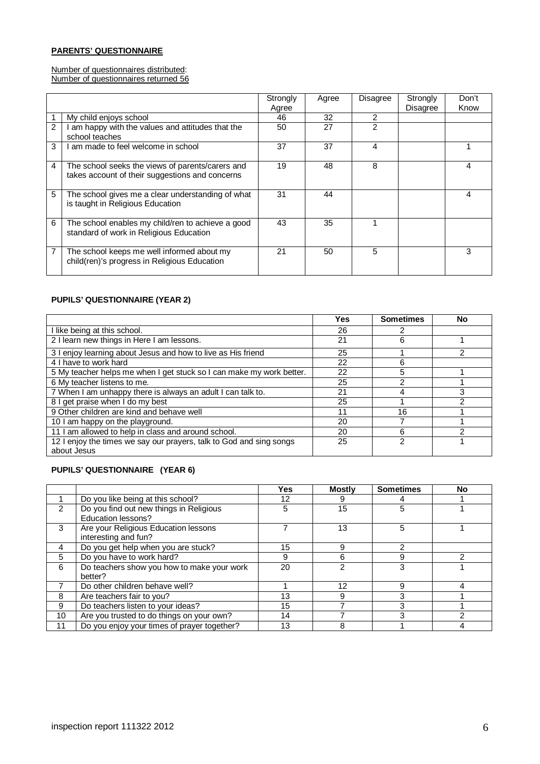#### **PARENTS' QUESTIONNAIRE**

Number of questionnaires distributed: Number of questionnaires returned 56

|   |                                                                                                     | Strongly<br>Agree | Agree | <b>Disagree</b> | Strongly<br><b>Disagree</b> | Don't<br>Know |
|---|-----------------------------------------------------------------------------------------------------|-------------------|-------|-----------------|-----------------------------|---------------|
|   |                                                                                                     | 46                | 32    | 2               |                             |               |
|   | My child enjoys school                                                                              |                   |       |                 |                             |               |
| 2 | am happy with the values and attitudes that the<br>school teaches                                   | 50                | 27    | 2               |                             |               |
| 3 | am made to feel welcome in school                                                                   | 37                | 37    | 4               |                             |               |
| 4 | The school seeks the views of parents/carers and<br>takes account of their suggestions and concerns | 19                | 48    | 8               |                             | 4             |
| 5 | The school gives me a clear understanding of what<br>is taught in Religious Education               | 31                | 44    |                 |                             | 4             |
| 6 | The school enables my child/ren to achieve a good<br>standard of work in Religious Education        | 43                | 35    |                 |                             |               |
| 7 | The school keeps me well informed about my<br>child(ren)'s progress in Religious Education          | 21                | 50    | 5               |                             | 3             |

#### **PUPILS' QUESTIONNAIRE (YEAR 2)**

|                                                                      | Yes | <b>Sometimes</b> | No |
|----------------------------------------------------------------------|-----|------------------|----|
| I like being at this school.                                         | 26  |                  |    |
| 2 I learn new things in Here I am lessons.                           | 21  | 6                |    |
| 3 I enjoy learning about Jesus and how to live as His friend         | 25  |                  | 2  |
| 4 I have to work hard                                                | 22  | 6                |    |
| 5 My teacher helps me when I get stuck so I can make my work better. | 22  | 5                |    |
| 6 My teacher listens to me.                                          | 25  | ኅ                |    |
| 7 When I am unhappy there is always an adult I can talk to.          | 21  |                  | 3  |
| 8 I get praise when I do my best                                     | 25  |                  | っ  |
| 9 Other children are kind and behave well                            | 11  | 16               |    |
| 10 I am happy on the playground.                                     | 20  |                  |    |
| 11 I am allowed to help in class and around school.                  | 20  | 6                |    |
| 12 I enjoy the times we say our prayers, talk to God and sing songs  | 25  | っ                |    |
| about Jesus                                                          |     |                  |    |

#### **PUPILS' QUESTIONNAIRE (YEAR 6)**

|               |                                                               | Yes | <b>Mostly</b> | <b>Sometimes</b> | No |
|---------------|---------------------------------------------------------------|-----|---------------|------------------|----|
|               | Do you like being at this school?                             | 12  | 9             |                  |    |
| $\mathcal{P}$ | Do you find out new things in Religious<br>Education lessons? | 5   | 15            | 5                |    |
| 3             | Are your Religious Education lessons<br>interesting and fun?  |     | 13            | 5                |    |
| 4             | Do you get help when you are stuck?                           | 15  | 9             |                  |    |
| 5             | Do you have to work hard?                                     | 9   | 6             | 9                |    |
| 6             | Do teachers show you how to make your work<br>better?         | 20  | 2             | 3                |    |
|               | Do other children behave well?                                |     | 12            | g                |    |
| 8             | Are teachers fair to you?                                     | 13  | 9             | 3                |    |
| 9             | Do teachers listen to your ideas?                             | 15  |               | 3                |    |
| 10            | Are you trusted to do things on your own?                     | 14  |               | 3                | ⌒  |
| 11            | Do you enjoy your times of prayer together?                   | 13  | 8             |                  |    |